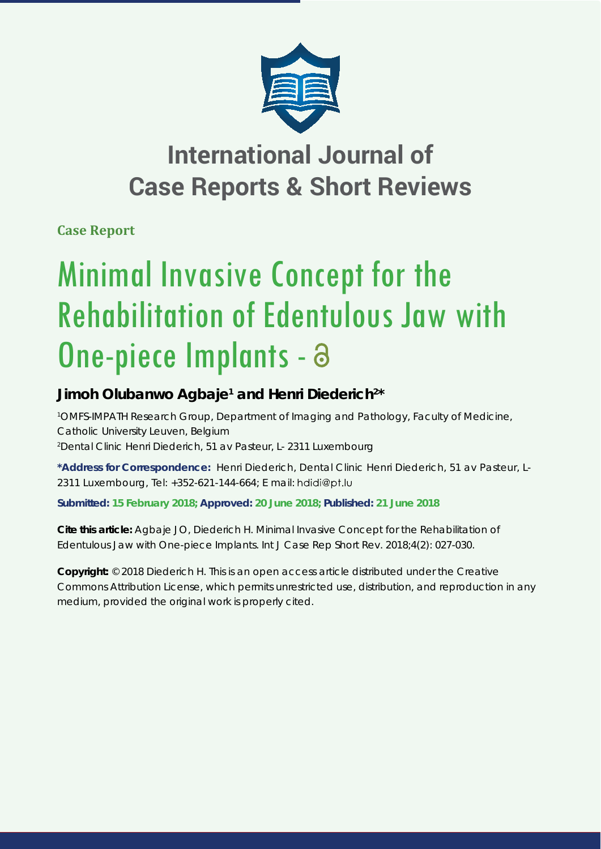

## **International Journal of Case Reports & Short Reviews**

**Case Report**

# Minimal Invasive Concept for the Rehabilitation of Edentulous Jaw with One-piece Implants -

### Jimoh Olubanwo Agbaje<sup>1</sup> and Henri Diederich<sup>2\*</sup>

*1 OMFS-IMPATH Research Group, Department of Imaging and Pathology, Faculty of Medicine, Catholic University Leuven, Belgium 2 Dental Clinic Henri Diederich, 51 av Pasteur, L- 2311 Luxembourg*

**\*Address for Correspondence:** Henri Diederich, Dental Clinic Henri Diederich, 51 av Pasteur, L-2311 Luxembourg, Tel: +352-621-144-664; E mail:

**Submitted: 15 February 2018; Approved: 20 June 2018; Published: 21 June 2018**

**Cite this article:** Agbaje JO, Diederich H. Minimal Invasive Concept for the Rehabilitation of Edentulous Jaw with One-piece Implants. Int J Case Rep Short Rev. 2018;4(2): 027-030.

**Copyright:** © 2018 Diederich H. This is an open access article distributed under the Creative Commons Attribution License, which permits unrestricted use, distribution, and reproduction in any medium, provided the original work is properly cited.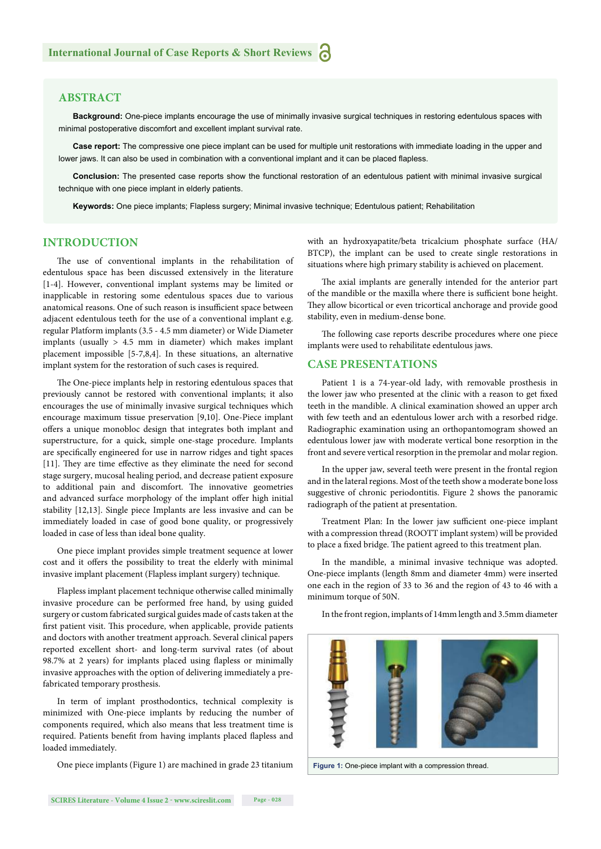#### **ABSTRACT**

**Background:** One-piece implants encourage the use of minimally invasive surgical techniques in restoring edentulous spaces with minimal postoperative discomfort and excellent implant survival rate.

**Case report:** The compressive one piece implant can be used for multiple unit restorations with immediate loading in the upper and lower jaws. It can also be used in combination with a conventional implant and it can be placed flapless.

**Conclusion:** The presented case reports show the functional restoration of an edentulous patient with minimal invasive surgical technique with one piece implant in elderly patients.

**Keywords:** One piece implants; Flapless surgery; Minimal invasive technique; Edentulous patient; Rehabilitation

#### **INTRODUCTION**

The use of conventional implants in the rehabilitation of edentulous space has been discussed extensively in the literature [1-4]. However, conventional implant systems may be limited or inapplicable in restoring some edentulous spaces due to various anatomical reasons. One of such reason is insufficient space between adjacent edentulous teeth for the use of a conventional implant e.g. regular Platform implants (3.5 - 4.5 mm diameter) or Wide Diameter implants (usually  $> 4.5$  mm in diameter) which makes implant placement impossible [5-7,8,4]. In these situations, an alternative implant system for the restoration of such cases is required.

The One-piece implants help in restoring edentulous spaces that previously cannot be restored with conventional implants; it also encourages the use of minimally invasive surgical techniques which encourage maximum tissue preservation [9,10]. One-Piece implant offers a unique monobloc design that integrates both implant and superstructure, for a quick, simple one-stage procedure. Implants are specifically engineered for use in narrow ridges and tight spaces [11]. They are time effective as they eliminate the need for second stage surgery, mucosal healing period, and decrease patient exposure to additional pain and discomfort. The innovative geometries and advanced surface morphology of the implant offer high initial stability [12,13]. Single piece Implants are less invasive and can be immediately loaded in case of good bone quality, or progressively loaded in case of less than ideal bone quality.

One piece implant provides simple treatment sequence at lower cost and it offers the possibility to treat the elderly with minimal invasive implant placement (Flapless implant surgery) technique.

Flapless implant placement technique otherwise called minimally invasive procedure can be performed free hand, by using guided surgery or custom fabricated surgical guides made of casts taken at the first patient visit. This procedure, when applicable, provide patients and doctors with another treatment approach. Several clinical papers reported excellent short- and long-term survival rates (of about 98.7% at 2 years) for implants placed using flapless or minimally invasive approaches with the option of delivering immediately a prefabricated temporary prosthesis.

In term of implant prosthodontics, technical complexity is minimized with One-piece implants by reducing the number of components required, which also means that less treatment time is required. Patients benefit from having implants placed flapless and loaded immediately.

One piece implants (Figure 1) are machined in grade 23 titanium

with an hydroxyapatite/beta tricalcium phosphate surface (HA/ BTCP), the implant can be used to create single restorations in situations where high primary stability is achieved on placement.

The axial implants are generally intended for the anterior part of the mandible or the maxilla where there is sufficient bone height. They allow bicortical or even tricortical anchorage and provide good stability, even in medium-dense bone.

The following case reports describe procedures where one piece implants were used to rehabilitate edentulous jaws.

#### **CASE PRESENTATIONS**

Patient 1 is a 74-year-old lady, with removable prosthesis in the lower jaw who presented at the clinic with a reason to get fixed teeth in the mandible. A clinical examination showed an upper arch with few teeth and an edentulous lower arch with a resorbed ridge. Radiographic examination using an orthopantomogram showed an edentulous lower jaw with moderate vertical bone resorption in the front and severe vertical resorption in the premolar and molar region.

In the upper jaw, several teeth were present in the frontal region and in the lateral regions. Most of the teeth show a moderate bone loss suggestive of chronic periodontitis. Figure 2 shows the panoramic radiograph of the patient at presentation.

Treatment Plan: In the lower jaw sufficient one-piece implant with a compression thread (ROOTT implant system) will be provided to place a fixed bridge. The patient agreed to this treatment plan.

In the mandible, a minimal invasive technique was adopted. One-piece implants (length 8mm and diameter 4mm) were inserted one each in the region of 33 to 36 and the region of 43 to 46 with a minimum torque of 50N.

In the front region, implants of 14mm length and 3.5mm diameter

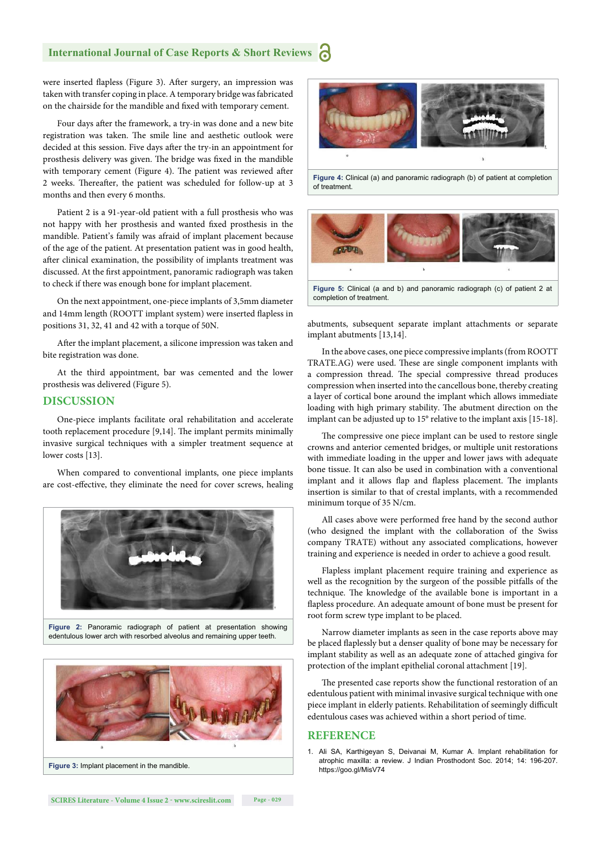#### **International Journal of Case Reports & Short Reviews** ሕ

were inserted flapless (Figure 3). After surgery, an impression was taken with transfer coping in place. A temporary bridge was fabricated on the chairside for the mandible and fixed with temporary cement.

Four days after the framework, a try-in was done and a new bite registration was taken. The smile line and aesthetic outlook were decided at this session. Five days after the try-in an appointment for prosthesis delivery was given. The bridge was fixed in the mandible with temporary cement (Figure 4). The patient was reviewed after 2 weeks. Thereafter, the patient was scheduled for follow-up at 3 months and then every 6 months.

Patient 2 is a 91-year-old patient with a full prosthesis who was not happy with her prosthesis and wanted fixed prosthesis in the mandible. Patient's family was afraid of implant placement because of the age of the patient. At presentation patient was in good health, after clinical examination, the possibility of implants treatment was discussed. At the first appointment, panoramic radiograph was taken to check if there was enough bone for implant placement.

On the next appointment, one-piece implants of 3,5mm diameter and 14mm length (ROOTT implant system) were inserted flapless in positions 31, 32, 41 and 42 with a torque of 50N.

After the implant placement, a silicone impression was taken and bite registration was done.

At the third appointment, bar was cemented and the lower prosthesis was delivered (Figure 5).

#### **DISCUSSION**

One-piece implants facilitate oral rehabilitation and accelerate tooth replacement procedure [9,14]. The implant permits minimally invasive surgical techniques with a simpler treatment sequence at lower costs [13].

When compared to conventional implants, one piece implants are cost-effective, they eliminate the need for cover screws, healing







**Figure 4:** Clinical (a) and panoramic radiograph (b) of patient at completion of treatment.



abutments, subsequent separate implant attachments or separate implant abutments [13,14].

In the above cases, one piece compressive implants (from ROOTT TRATE.AG) were used. These are single component implants with a compression thread. The special compressive thread produces compression when inserted into the cancellous bone, thereby creating a layer of cortical bone around the implant which allows immediate loading with high primary stability. The abutment direction on the implant can be adjusted up to 15° relative to the implant axis [15-18].

The compressive one piece implant can be used to restore single crowns and anterior cemented bridges, or multiple unit restorations with immediate loading in the upper and lower jaws with adequate bone tissue. It can also be used in combination with a conventional implant and it allows flap and flapless placement. The implants insertion is similar to that of crestal implants, with a recommended minimum torque of 35 N/cm.

All cases above were performed free hand by the second author (who designed the implant with the collaboration of the Swiss company TRATE) without any associated complications, however training and experience is needed in order to achieve a good result.

Flapless implant placement require training and experience as well as the recognition by the surgeon of the possible pitfalls of the technique. The knowledge of the available bone is important in a flapless procedure. An adequate amount of bone must be present for root form screw type implant to be placed.

Narrow diameter implants as seen in the case reports above may be placed flaplessly but a denser quality of bone may be necessary for implant stability as well as an adequate zone of attached gingiva for protection of the implant epithelial coronal attachment [19].

The presented case reports show the functional restoration of an edentulous patient with minimal invasive surgical technique with one piece implant in elderly patients. Rehabilitation of seemingly difficult edentulous cases was achieved within a short period of time.

#### **REFERENCE**

1. Ali SA, Karthigeyan S, Deivanai M, Kumar A. Implant rehabilitation for atrophic maxilla: a review. J Indian Prosthodont Soc. 2014; 14: 196-207. https://goo.gl/MisV74